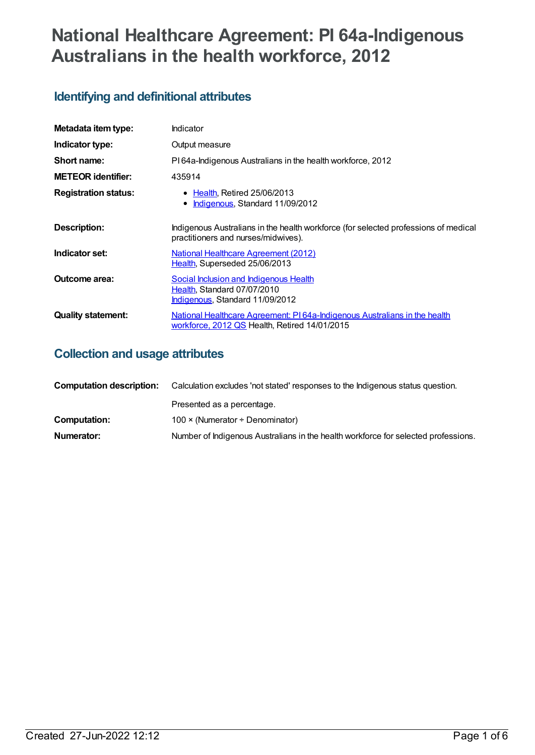# **National Healthcare Agreement: PI 64a-Indigenous Australians in the health workforce, 2012**

# **Identifying and definitional attributes**

| Metadata item type:         | Indicator                                                                                                                  |
|-----------------------------|----------------------------------------------------------------------------------------------------------------------------|
| Indicator type:             | Output measure                                                                                                             |
| Short name:                 | PI64a-Indigenous Australians in the health workforce, 2012                                                                 |
| <b>METEOR</b> identifier:   | 435914                                                                                                                     |
| <b>Registration status:</b> | • Health, Retired 25/06/2013<br>Indigenous, Standard 11/09/2012<br>$\bullet$                                               |
| Description:                | Indigenous Australians in the health workforce (for selected professions of medical<br>practitioners and nurses/midwives). |
| Indicator set:              | <b>National Healthcare Agreement (2012)</b><br>Health, Superseded 25/06/2013                                               |
| Outcome area:               | Social Inclusion and Indigenous Health<br>Health, Standard 07/07/2010<br>Indigenous, Standard 11/09/2012                   |
| <b>Quality statement:</b>   | National Healthcare Agreement: PI64a-Indigenous Australians in the health<br>workforce, 2012 QS Health, Retired 14/01/2015 |

## **Collection and usage attributes**

| <b>Computation description:</b> | Calculation excludes 'not stated' responses to the Indigenous status question.     |  |
|---------------------------------|------------------------------------------------------------------------------------|--|
|                                 | Presented as a percentage.                                                         |  |
| Computation:                    | 100 $\times$ (Numerator ÷ Denominator)                                             |  |
| Numerator:                      | Number of Indigenous Australians in the health workforce for selected professions. |  |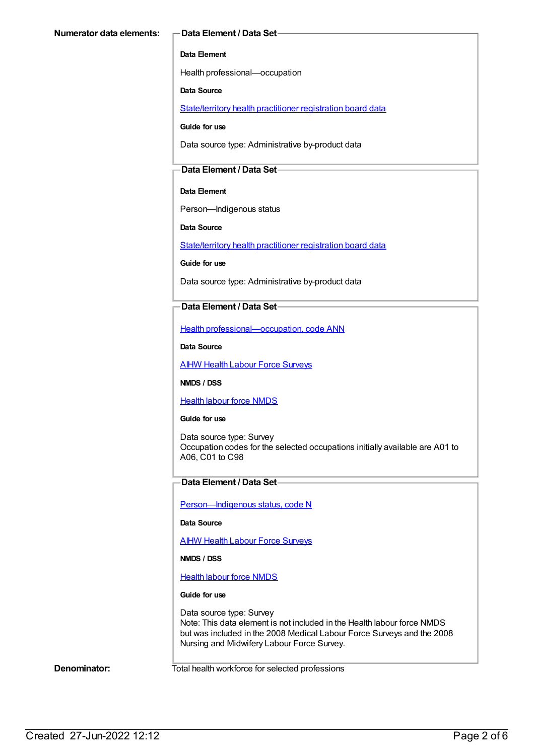#### **Data Element**

Health professional—occupation

#### **Data Source**

[State/territory](https://meteor.aihw.gov.au/content/399303) health practitioner registration board data

**Guide for use**

Data source type: Administrative by-product data

### **Data Element / Data Set**

#### **Data Element**

Person—Indigenous status

**Data Source**

[State/territory](https://meteor.aihw.gov.au/content/399303) health practitioner registration board data

**Guide for use**

Data source type: Administrative by-product data

### **Data Element / Data Set**

Health [professional—occupation,](https://meteor.aihw.gov.au/content/270140) code ANN

**Data Source**

**AIHW Health Labour Force [Surveys](https://meteor.aihw.gov.au/content/400072)** 

**NMDS / DSS**

[Health](https://meteor.aihw.gov.au/content/273041) labour force NMDS

#### **Guide for use**

Data source type: Survey Occupation codes for the selected occupations initially available are A01 to A06, C01 to C98

### **Data Element / Data Set**

Person-Indigenous status, code N

**Data Source**

**AIHW Health Labour Force [Surveys](https://meteor.aihw.gov.au/content/400072)** 

**NMDS / DSS**

[Health](https://meteor.aihw.gov.au/content/273041) labour force NMDS

#### **Guide for use**

Data source type: Survey Note: This data element is not included in the Health labour force NMDS but was included in the 2008 Medical Labour Force Surveys and the 2008 Nursing and Midwifery Labour Force Survey.

**Denominator:** Total health workforce for selected professions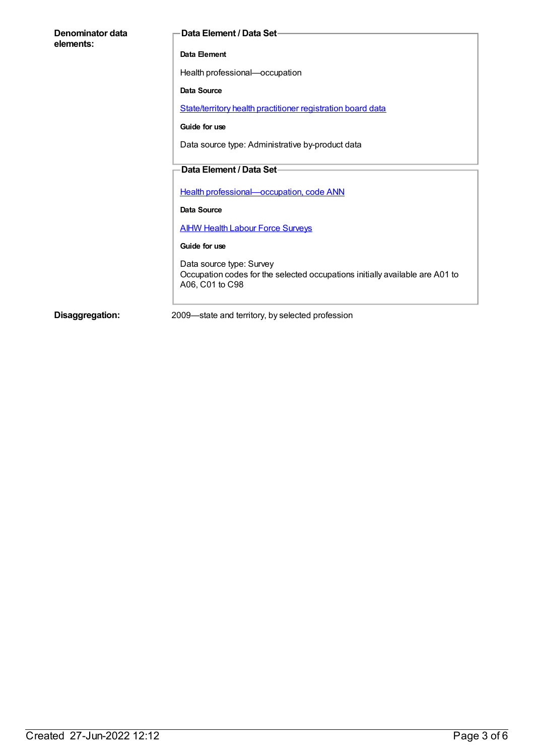| Denominator data<br>elements: | <b>Data Element / Data Set-</b>                                                                                             |
|-------------------------------|-----------------------------------------------------------------------------------------------------------------------------|
|                               | Data Element                                                                                                                |
|                               | Health professional-occupation                                                                                              |
|                               | Data Source                                                                                                                 |
|                               | State/territory health practitioner registration board data                                                                 |
|                               | Guide for use                                                                                                               |
|                               | Data source type: Administrative by-product data                                                                            |
|                               | Data Element / Data Set-                                                                                                    |
|                               |                                                                                                                             |
|                               | Health professional-occupation, code ANN                                                                                    |
|                               | Data Source                                                                                                                 |
|                               | <b>AIHW Health Labour Force Surveys</b>                                                                                     |
|                               | Guide for use                                                                                                               |
|                               | Data source type: Survey<br>Occupation codes for the selected occupations initially available are A01 to<br>A06, C01 to C98 |

**Disaggregation:** 2009—state and territory, by selected profession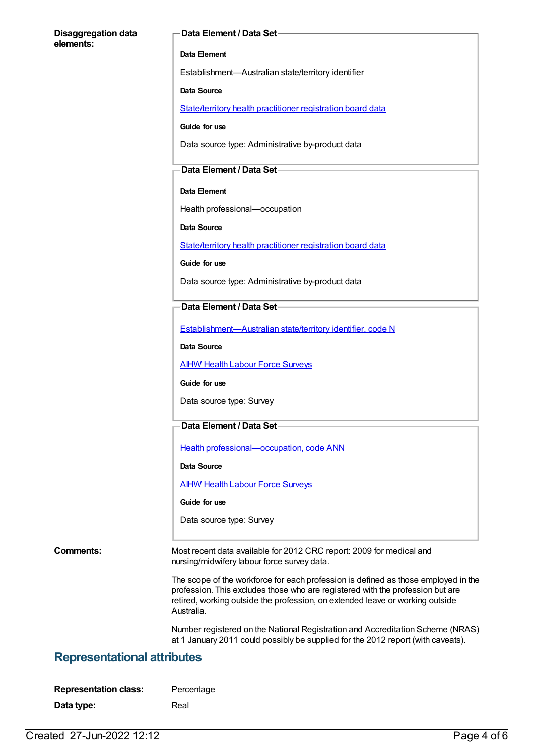#### **Disaggregation data elements:**

#### **Data Element / Data Set**

#### **Data Element**

Establishment—Australian state/territory identifier

#### **Data Source**

[State/territory](https://meteor.aihw.gov.au/content/399303) health practitioner registration board data

**Guide for use**

Data source type: Administrative by-product data

#### **Data Element / Data Set**

#### **Data Element**

Health professional—occupation

**Data Source**

[State/territory](https://meteor.aihw.gov.au/content/399303) health practitioner registration board data

**Guide for use**

Data source type: Administrative by-product data

### **Data Element / Data Set**

[Establishment—Australian](https://meteor.aihw.gov.au/content/269941) state/territory identifier, code N

**Data Source**

**AIHW Health Labour Force [Surveys](https://meteor.aihw.gov.au/content/400072)** 

**Guide for use**

Data source type: Survey

#### **Data Element / Data Set**

Health [professional—occupation,](https://meteor.aihw.gov.au/content/270140) code ANN

**Data Source**

**AIHW Health Labour Force [Surveys](https://meteor.aihw.gov.au/content/400072)** 

**Guide for use**

Data source type: Survey

**Comments:** Most recent data available for 2012 CRC report: 2009 for medical and nursing/midwifery labour force survey data.

> The scope of the workforce for each profession is defined as those employed in the profession. This excludes those who are registered with the profession but are retired, working outside the profession, on extended leave or working outside Australia.

> Number registered on the National Registration and Accreditation Scheme (NRAS) at 1 January 2011 could possibly be supplied for the 2012 report (with caveats).

## **Representational attributes**

| <b>Representation class:</b> | Percentage |
|------------------------------|------------|
| Data type:                   | Real       |